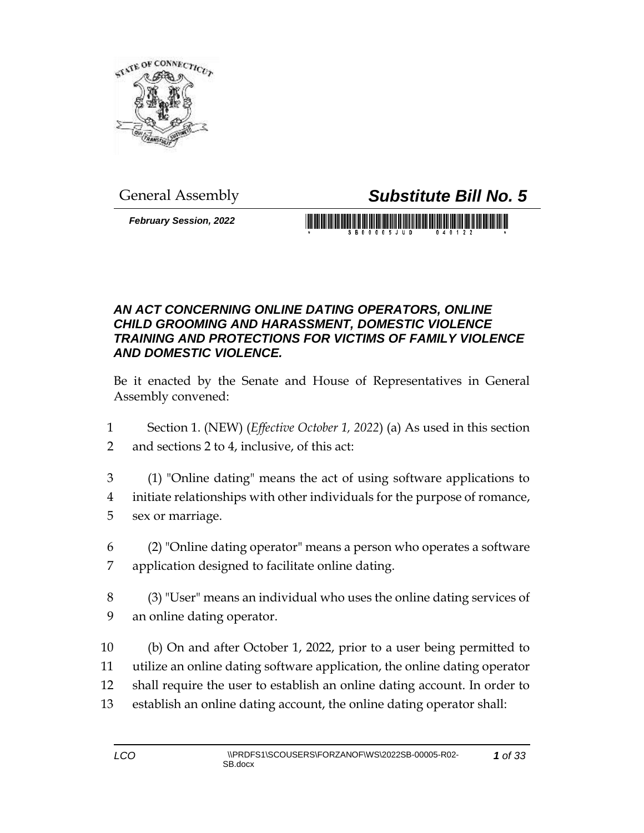

General Assembly *Substitute Bill No. 5*

*February Session, 2022*

S B 0 0 0 0 5 J U D

## *AN ACT CONCERNING ONLINE DATING OPERATORS, ONLINE CHILD GROOMING AND HARASSMENT, DOMESTIC VIOLENCE TRAINING AND PROTECTIONS FOR VICTIMS OF FAMILY VIOLENCE AND DOMESTIC VIOLENCE.*

Be it enacted by the Senate and House of Representatives in General Assembly convened:

- 1 Section 1. (NEW) (*Effective October 1, 2022*) (a) As used in this section 2 and sections 2 to 4, inclusive, of this act:
- 3 (1) "Online dating" means the act of using software applications to 4 initiate relationships with other individuals for the purpose of romance, 5 sex or marriage.
- 6 (2) "Online dating operator" means a person who operates a software 7 application designed to facilitate online dating.
- 8 (3) "User" means an individual who uses the online dating services of 9 an online dating operator.
- 10 (b) On and after October 1, 2022, prior to a user being permitted to 11 utilize an online dating software application, the online dating operator 12 shall require the user to establish an online dating account. In order to 13 establish an online dating account, the online dating operator shall: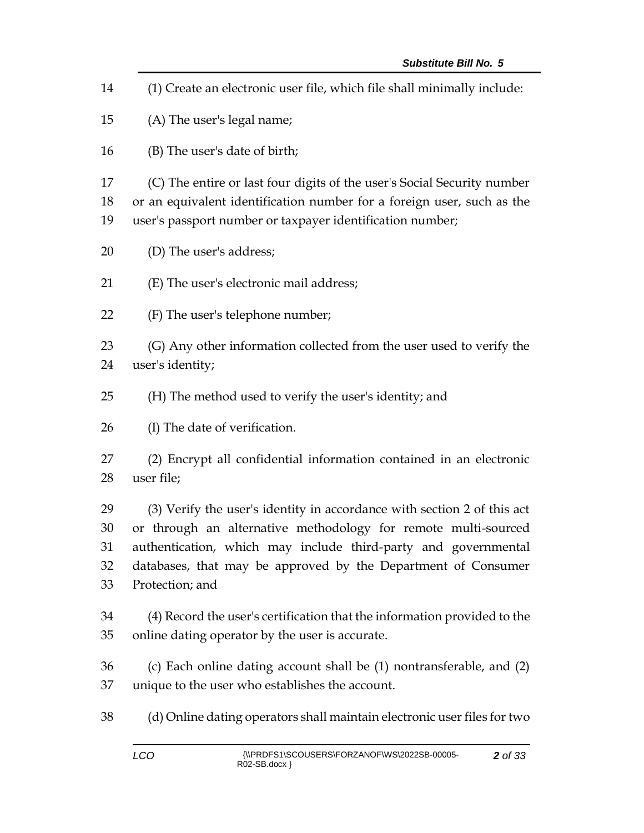(1) Create an electronic user file, which file shall minimally include: (A) The user's legal name; (B) The user's date of birth; (C) The entire or last four digits of the user's Social Security number or an equivalent identification number for a foreign user, such as the user's passport number or taxpayer identification number; (D) The user's address; (E) The user's electronic mail address; (F) The user's telephone number; (G) Any other information collected from the user used to verify the user's identity; (H) The method used to verify the user's identity; and (I) The date of verification. (2) Encrypt all confidential information contained in an electronic user file; (3) Verify the user's identity in accordance with section 2 of this act or through an alternative methodology for remote multi-sourced authentication, which may include third-party and governmental databases, that may be approved by the Department of Consumer Protection; and (4) Record the user's certification that the information provided to the online dating operator by the user is accurate. (c) Each online dating account shall be (1) nontransferable, and (2) unique to the user who establishes the account. (d) Online dating operators shall maintain electronic user files for two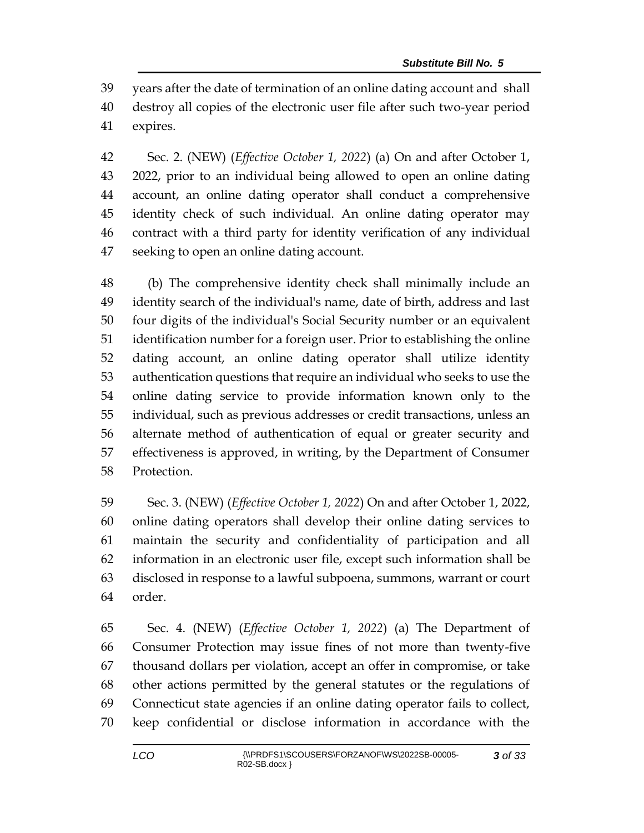years after the date of termination of an online dating account and shall destroy all copies of the electronic user file after such two-year period expires.

 Sec. 2. (NEW) (*Effective October 1, 2022*) (a) On and after October 1, 2022, prior to an individual being allowed to open an online dating account, an online dating operator shall conduct a comprehensive identity check of such individual. An online dating operator may contract with a third party for identity verification of any individual seeking to open an online dating account.

 (b) The comprehensive identity check shall minimally include an identity search of the individual's name, date of birth, address and last four digits of the individual's Social Security number or an equivalent identification number for a foreign user. Prior to establishing the online dating account, an online dating operator shall utilize identity authentication questions that require an individual who seeks to use the online dating service to provide information known only to the individual, such as previous addresses or credit transactions, unless an alternate method of authentication of equal or greater security and effectiveness is approved, in writing, by the Department of Consumer Protection.

 Sec. 3. (NEW) (*Effective October 1, 2022*) On and after October 1, 2022, online dating operators shall develop their online dating services to maintain the security and confidentiality of participation and all information in an electronic user file, except such information shall be disclosed in response to a lawful subpoena, summons, warrant or court order.

 Sec. 4. (NEW) (*Effective October 1, 2022*) (a) The Department of Consumer Protection may issue fines of not more than twenty-five thousand dollars per violation, accept an offer in compromise, or take other actions permitted by the general statutes or the regulations of Connecticut state agencies if an online dating operator fails to collect, keep confidential or disclose information in accordance with the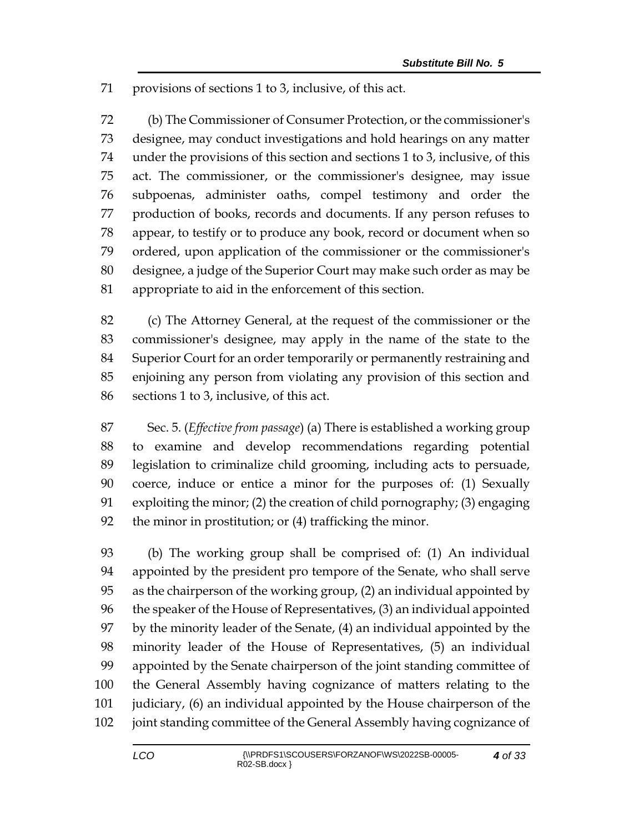provisions of sections 1 to 3, inclusive, of this act.

 (b) The Commissioner of Consumer Protection, or the commissioner's designee, may conduct investigations and hold hearings on any matter under the provisions of this section and sections 1 to 3, inclusive, of this act. The commissioner, or the commissioner's designee, may issue subpoenas, administer oaths, compel testimony and order the production of books, records and documents. If any person refuses to appear, to testify or to produce any book, record or document when so ordered, upon application of the commissioner or the commissioner's designee, a judge of the Superior Court may make such order as may be appropriate to aid in the enforcement of this section.

 (c) The Attorney General, at the request of the commissioner or the commissioner's designee, may apply in the name of the state to the Superior Court for an order temporarily or permanently restraining and enjoining any person from violating any provision of this section and sections 1 to 3, inclusive, of this act.

 Sec. 5. (*Effective from passage*) (a) There is established a working group to examine and develop recommendations regarding potential legislation to criminalize child grooming, including acts to persuade, coerce, induce or entice a minor for the purposes of: (1) Sexually exploiting the minor; (2) the creation of child pornography; (3) engaging the minor in prostitution; or (4) trafficking the minor.

 (b) The working group shall be comprised of: (1) An individual appointed by the president pro tempore of the Senate, who shall serve as the chairperson of the working group, (2) an individual appointed by the speaker of the House of Representatives, (3) an individual appointed by the minority leader of the Senate, (4) an individual appointed by the minority leader of the House of Representatives, (5) an individual appointed by the Senate chairperson of the joint standing committee of the General Assembly having cognizance of matters relating to the judiciary, (6) an individual appointed by the House chairperson of the joint standing committee of the General Assembly having cognizance of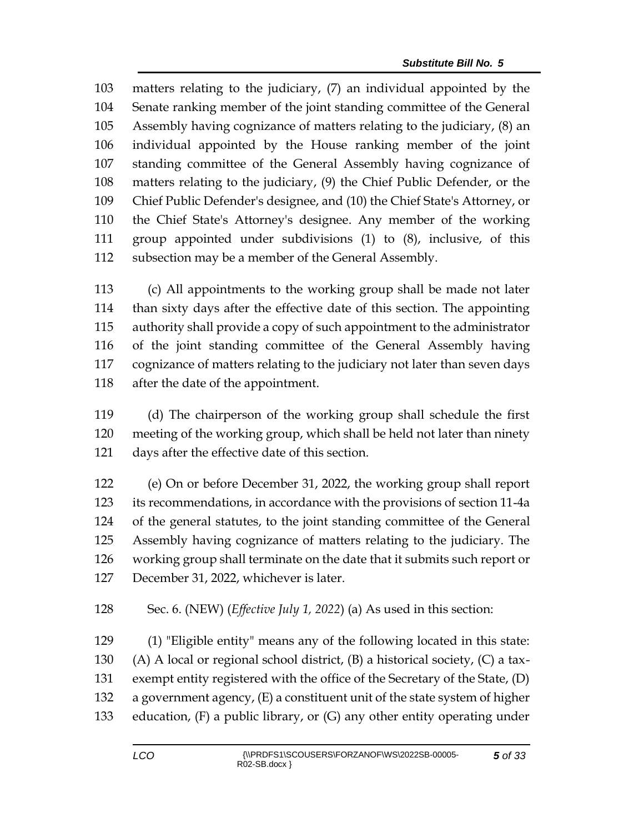matters relating to the judiciary, (7) an individual appointed by the Senate ranking member of the joint standing committee of the General Assembly having cognizance of matters relating to the judiciary, (8) an individual appointed by the House ranking member of the joint standing committee of the General Assembly having cognizance of matters relating to the judiciary, (9) the Chief Public Defender, or the Chief Public Defender's designee, and (10) the Chief State's Attorney, or the Chief State's Attorney's designee. Any member of the working group appointed under subdivisions (1) to (8), inclusive, of this subsection may be a member of the General Assembly.

 (c) All appointments to the working group shall be made not later than sixty days after the effective date of this section. The appointing authority shall provide a copy of such appointment to the administrator of the joint standing committee of the General Assembly having cognizance of matters relating to the judiciary not later than seven days after the date of the appointment.

 (d) The chairperson of the working group shall schedule the first meeting of the working group, which shall be held not later than ninety days after the effective date of this section.

 (e) On or before December 31, 2022, the working group shall report its recommendations, in accordance with the provisions of section 11-4a of the general statutes, to the joint standing committee of the General Assembly having cognizance of matters relating to the judiciary. The working group shall terminate on the date that it submits such report or December 31, 2022, whichever is later.

Sec. 6. (NEW) (*Effective July 1, 2022*) (a) As used in this section:

 (1) "Eligible entity" means any of the following located in this state: 130 (A) A local or regional school district,  $(B)$  a historical society,  $(C)$  a tax- exempt entity registered with the office of the Secretary of the State, (D) a government agency, (E) a constituent unit of the state system of higher education, (F) a public library, or (G) any other entity operating under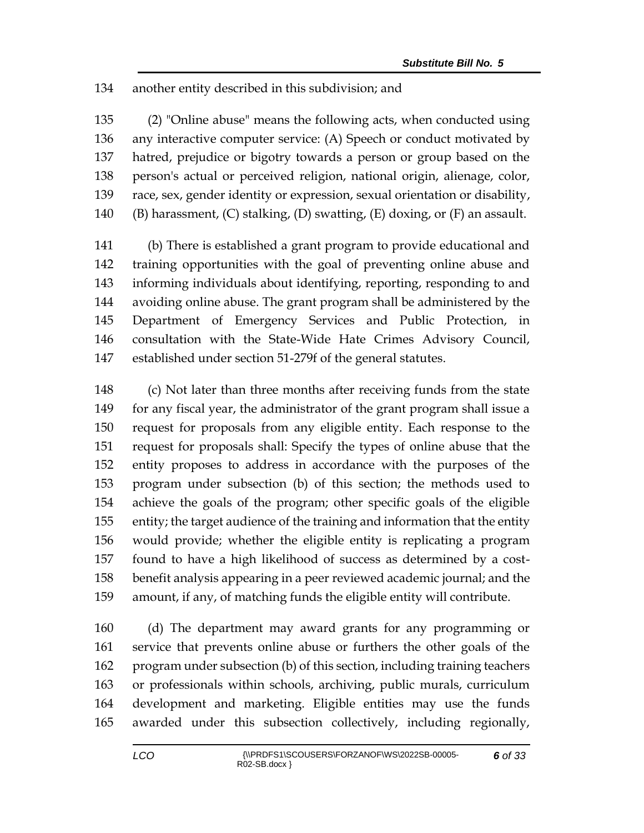## another entity described in this subdivision; and

 (2) "Online abuse" means the following acts, when conducted using any interactive computer service: (A) Speech or conduct motivated by hatred, prejudice or bigotry towards a person or group based on the person's actual or perceived religion, national origin, alienage, color, race, sex, gender identity or expression, sexual orientation or disability, 140 (B) harassment,  $(C)$  stalking,  $(D)$  swatting,  $(E)$  doxing, or  $(F)$  an assault.

 (b) There is established a grant program to provide educational and training opportunities with the goal of preventing online abuse and informing individuals about identifying, reporting, responding to and avoiding online abuse. The grant program shall be administered by the Department of Emergency Services and Public Protection, in consultation with the State-Wide Hate Crimes Advisory Council, established under section 51-279f of the general statutes.

 (c) Not later than three months after receiving funds from the state for any fiscal year, the administrator of the grant program shall issue a request for proposals from any eligible entity. Each response to the request for proposals shall: Specify the types of online abuse that the entity proposes to address in accordance with the purposes of the program under subsection (b) of this section; the methods used to achieve the goals of the program; other specific goals of the eligible entity; the target audience of the training and information that the entity would provide; whether the eligible entity is replicating a program found to have a high likelihood of success as determined by a cost- benefit analysis appearing in a peer reviewed academic journal; and the amount, if any, of matching funds the eligible entity will contribute.

 (d) The department may award grants for any programming or service that prevents online abuse or furthers the other goals of the program under subsection (b) of this section, including training teachers or professionals within schools, archiving, public murals, curriculum development and marketing. Eligible entities may use the funds awarded under this subsection collectively, including regionally,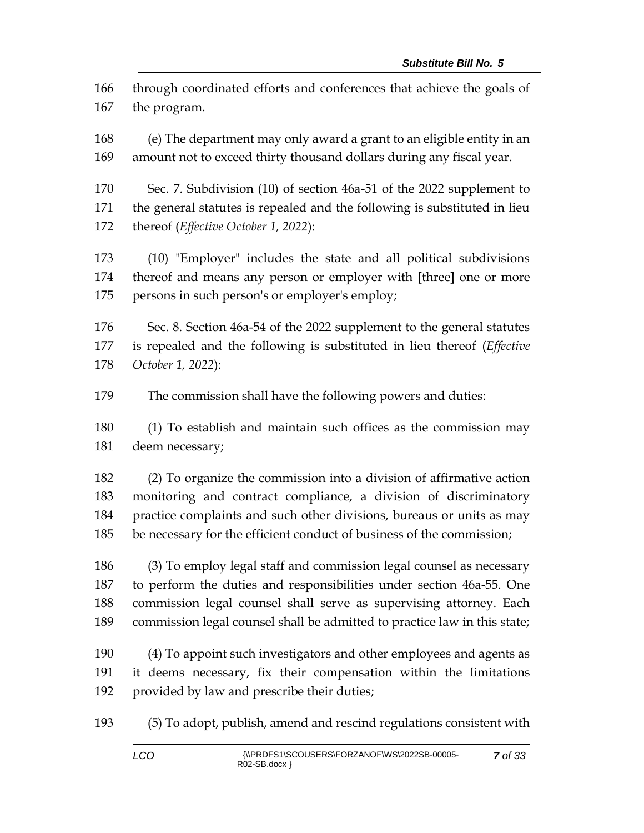through coordinated efforts and conferences that achieve the goals of the program.

 (e) The department may only award a grant to an eligible entity in an amount not to exceed thirty thousand dollars during any fiscal year.

 Sec. 7. Subdivision (10) of section 46a-51 of the 2022 supplement to the general statutes is repealed and the following is substituted in lieu thereof (*Effective October 1, 2022*):

 (10) "Employer" includes the state and all political subdivisions thereof and means any person or employer with **[**three**]** one or more 175 persons in such person's or employer's employ;

 Sec. 8. Section 46a-54 of the 2022 supplement to the general statutes is repealed and the following is substituted in lieu thereof (*Effective October 1, 2022*):

The commission shall have the following powers and duties:

 (1) To establish and maintain such offices as the commission may deem necessary;

 (2) To organize the commission into a division of affirmative action monitoring and contract compliance, a division of discriminatory practice complaints and such other divisions, bureaus or units as may be necessary for the efficient conduct of business of the commission;

 (3) To employ legal staff and commission legal counsel as necessary to perform the duties and responsibilities under section 46a-55. One commission legal counsel shall serve as supervising attorney. Each commission legal counsel shall be admitted to practice law in this state;

 (4) To appoint such investigators and other employees and agents as it deems necessary, fix their compensation within the limitations provided by law and prescribe their duties;

(5) To adopt, publish, amend and rescind regulations consistent with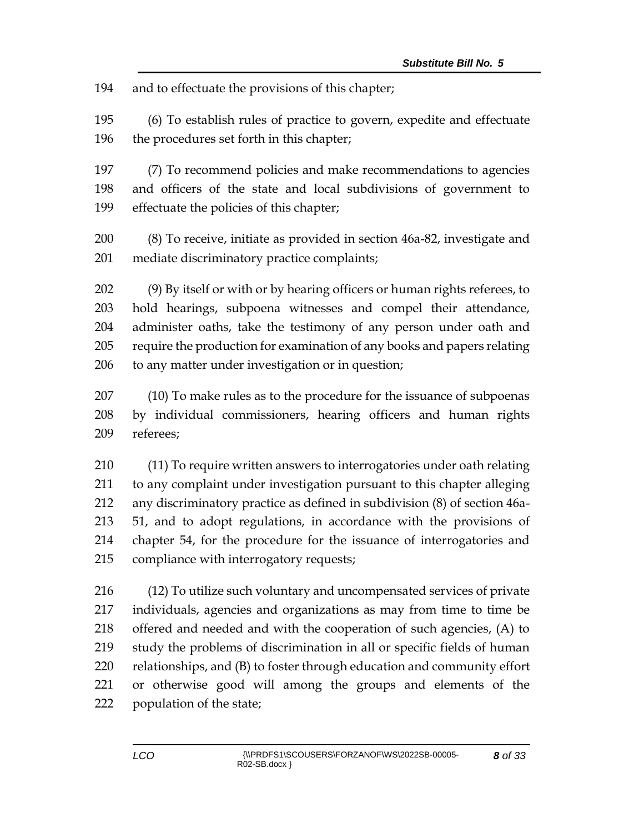and to effectuate the provisions of this chapter;

 (6) To establish rules of practice to govern, expedite and effectuate the procedures set forth in this chapter;

 (7) To recommend policies and make recommendations to agencies and officers of the state and local subdivisions of government to effectuate the policies of this chapter;

 (8) To receive, initiate as provided in section 46a-82, investigate and mediate discriminatory practice complaints;

 (9) By itself or with or by hearing officers or human rights referees, to hold hearings, subpoena witnesses and compel their attendance, administer oaths, take the testimony of any person under oath and require the production for examination of any books and papers relating to any matter under investigation or in question;

 (10) To make rules as to the procedure for the issuance of subpoenas by individual commissioners, hearing officers and human rights referees;

 (11) To require written answers to interrogatories under oath relating to any complaint under investigation pursuant to this chapter alleging any discriminatory practice as defined in subdivision (8) of section 46a- 51, and to adopt regulations, in accordance with the provisions of chapter 54, for the procedure for the issuance of interrogatories and compliance with interrogatory requests;

 (12) To utilize such voluntary and uncompensated services of private individuals, agencies and organizations as may from time to time be offered and needed and with the cooperation of such agencies, (A) to study the problems of discrimination in all or specific fields of human relationships, and (B) to foster through education and community effort or otherwise good will among the groups and elements of the population of the state;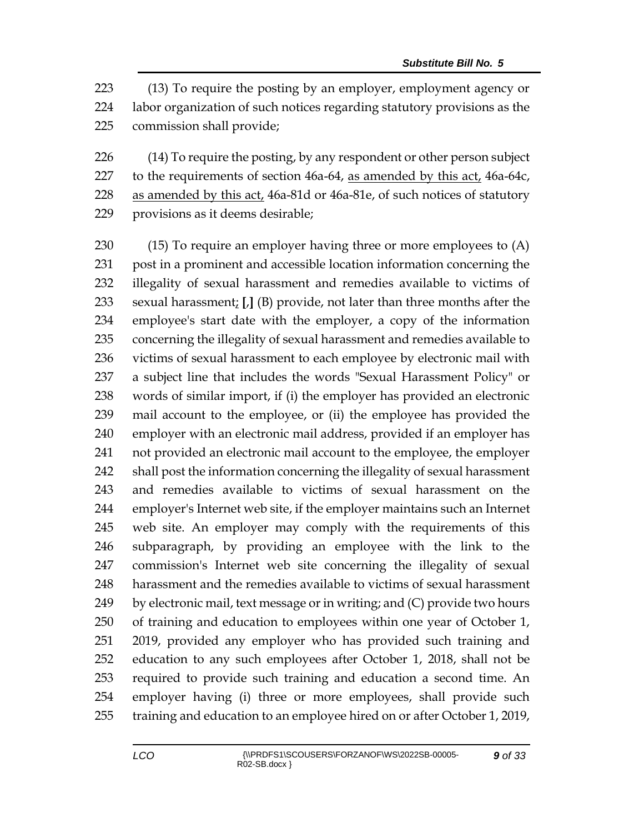(13) To require the posting by an employer, employment agency or labor organization of such notices regarding statutory provisions as the commission shall provide;

226 (14) To require the posting, by any respondent or other person subject 227 to the requirements of section 46a-64, as amended by this act, 46a-64c, 228 as amended by this act, 46a-81d or 46a-81e, of such notices of statutory provisions as it deems desirable;

 (15) To require an employer having three or more employees to (A) post in a prominent and accessible location information concerning the illegality of sexual harassment and remedies available to victims of sexual harassment; **[**,**]** (B) provide, not later than three months after the employee's start date with the employer, a copy of the information concerning the illegality of sexual harassment and remedies available to victims of sexual harassment to each employee by electronic mail with a subject line that includes the words "Sexual Harassment Policy" or words of similar import, if (i) the employer has provided an electronic mail account to the employee, or (ii) the employee has provided the employer with an electronic mail address, provided if an employer has not provided an electronic mail account to the employee, the employer shall post the information concerning the illegality of sexual harassment and remedies available to victims of sexual harassment on the employer's Internet web site, if the employer maintains such an Internet web site. An employer may comply with the requirements of this subparagraph, by providing an employee with the link to the commission's Internet web site concerning the illegality of sexual harassment and the remedies available to victims of sexual harassment by electronic mail, text message or in writing; and (C) provide two hours of training and education to employees within one year of October 1, 2019, provided any employer who has provided such training and education to any such employees after October 1, 2018, shall not be required to provide such training and education a second time. An employer having (i) three or more employees, shall provide such training and education to an employee hired on or after October 1, 2019,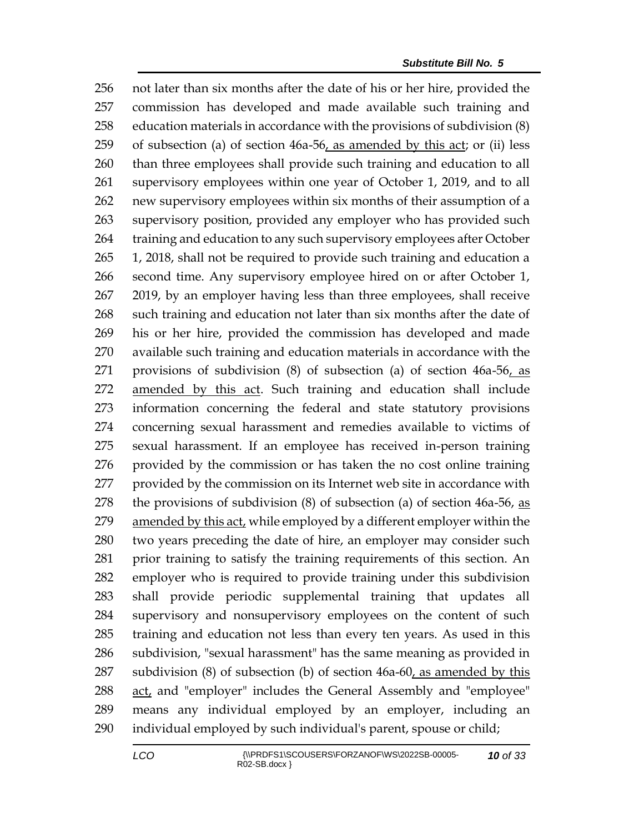not later than six months after the date of his or her hire, provided the commission has developed and made available such training and education materials in accordance with the provisions of subdivision (8) of subsection (a) of section 46a-56, as amended by this act; or (ii) less than three employees shall provide such training and education to all supervisory employees within one year of October 1, 2019, and to all new supervisory employees within six months of their assumption of a supervisory position, provided any employer who has provided such 264 training and education to any such supervisory employees after October 1, 2018, shall not be required to provide such training and education a second time. Any supervisory employee hired on or after October 1, 2019, by an employer having less than three employees, shall receive such training and education not later than six months after the date of his or her hire, provided the commission has developed and made available such training and education materials in accordance with the provisions of subdivision (8) of subsection (a) of section 46a-56, as amended by this act. Such training and education shall include information concerning the federal and state statutory provisions concerning sexual harassment and remedies available to victims of sexual harassment. If an employee has received in-person training provided by the commission or has taken the no cost online training provided by the commission on its Internet web site in accordance with 278 the provisions of subdivision  $(8)$  of subsection  $(a)$  of section 46a-56, as amended by this act, while employed by a different employer within the two years preceding the date of hire, an employer may consider such prior training to satisfy the training requirements of this section. An employer who is required to provide training under this subdivision shall provide periodic supplemental training that updates all supervisory and nonsupervisory employees on the content of such training and education not less than every ten years. As used in this subdivision, "sexual harassment" has the same meaning as provided in subdivision (8) of subsection (b) of section 46a-60, as amended by this act, and "employer" includes the General Assembly and "employee" means any individual employed by an employer, including an individual employed by such individual's parent, spouse or child;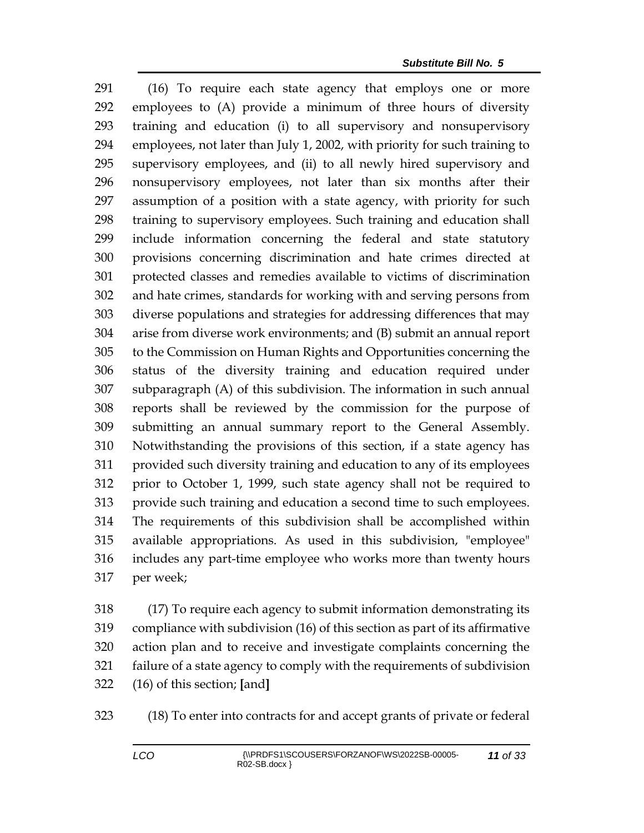(16) To require each state agency that employs one or more employees to (A) provide a minimum of three hours of diversity training and education (i) to all supervisory and nonsupervisory employees, not later than July 1, 2002, with priority for such training to supervisory employees, and (ii) to all newly hired supervisory and nonsupervisory employees, not later than six months after their assumption of a position with a state agency, with priority for such training to supervisory employees. Such training and education shall include information concerning the federal and state statutory provisions concerning discrimination and hate crimes directed at protected classes and remedies available to victims of discrimination and hate crimes, standards for working with and serving persons from diverse populations and strategies for addressing differences that may arise from diverse work environments; and (B) submit an annual report to the Commission on Human Rights and Opportunities concerning the status of the diversity training and education required under subparagraph (A) of this subdivision. The information in such annual reports shall be reviewed by the commission for the purpose of submitting an annual summary report to the General Assembly. Notwithstanding the provisions of this section, if a state agency has provided such diversity training and education to any of its employees prior to October 1, 1999, such state agency shall not be required to provide such training and education a second time to such employees. The requirements of this subdivision shall be accomplished within available appropriations. As used in this subdivision, "employee" includes any part-time employee who works more than twenty hours per week;

 (17) To require each agency to submit information demonstrating its compliance with subdivision (16) of this section as part of its affirmative action plan and to receive and investigate complaints concerning the failure of a state agency to comply with the requirements of subdivision (16) of this section; **[**and**]**

(18) To enter into contracts for and accept grants of private or federal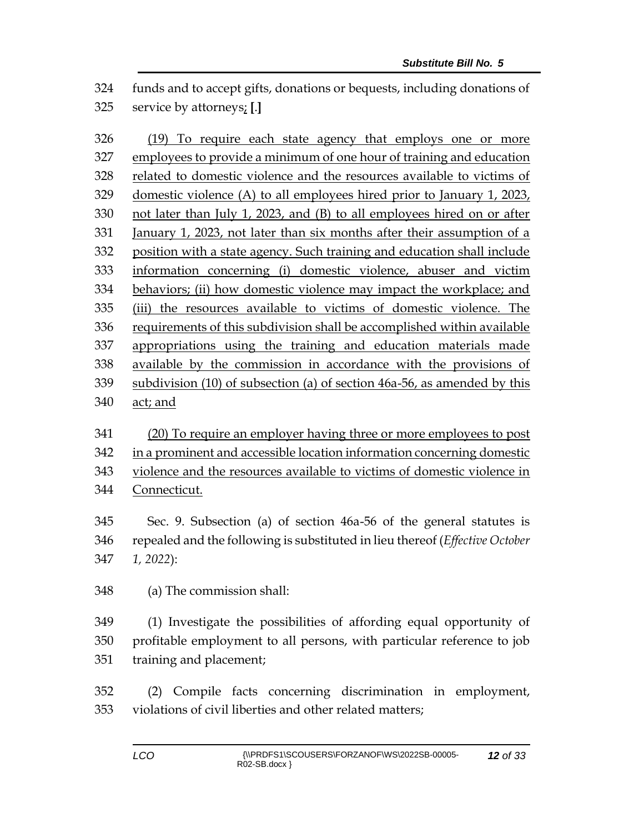funds and to accept gifts, donations or bequests, including donations of service by attorneys; **[**.**]**

 (19) To require each state agency that employs one or more employees to provide a minimum of one hour of training and education related to domestic violence and the resources available to victims of domestic violence (A) to all employees hired prior to January 1, 2023, not later than July 1, 2023, and (B) to all employees hired on or after January 1, 2023, not later than six months after their assumption of a position with a state agency. Such training and education shall include information concerning (i) domestic violence, abuser and victim behaviors; (ii) how domestic violence may impact the workplace; and (iii) the resources available to victims of domestic violence. The requirements of this subdivision shall be accomplished within available appropriations using the training and education materials made available by the commission in accordance with the provisions of subdivision (10) of subsection (a) of section 46a-56, as amended by this act; and

 (20) To require an employer having three or more employees to post in a prominent and accessible location information concerning domestic violence and the resources available to victims of domestic violence in Connecticut.

 Sec. 9. Subsection (a) of section 46a-56 of the general statutes is repealed and the following is substituted in lieu thereof (*Effective October 1, 2022*):

(a) The commission shall:

 (1) Investigate the possibilities of affording equal opportunity of profitable employment to all persons, with particular reference to job training and placement;

 (2) Compile facts concerning discrimination in employment, violations of civil liberties and other related matters;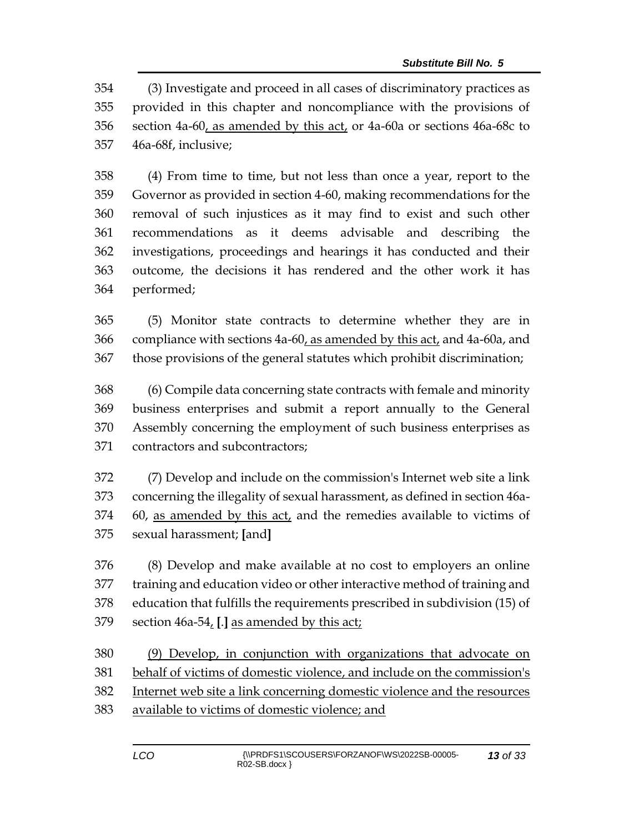(3) Investigate and proceed in all cases of discriminatory practices as provided in this chapter and noncompliance with the provisions of section 4a-60, as amended by this act, or 4a-60a or sections 46a-68c to 46a-68f, inclusive;

 (4) From time to time, but not less than once a year, report to the Governor as provided in section 4-60, making recommendations for the removal of such injustices as it may find to exist and such other recommendations as it deems advisable and describing the investigations, proceedings and hearings it has conducted and their outcome, the decisions it has rendered and the other work it has performed;

 (5) Monitor state contracts to determine whether they are in 366 compliance with sections 4a-60, as amended by this act, and 4a-60a, and those provisions of the general statutes which prohibit discrimination;

 (6) Compile data concerning state contracts with female and minority business enterprises and submit a report annually to the General Assembly concerning the employment of such business enterprises as contractors and subcontractors;

 (7) Develop and include on the commission's Internet web site a link concerning the illegality of sexual harassment, as defined in section 46a- 60, as amended by this act, and the remedies available to victims of sexual harassment; **[**and**]**

 (8) Develop and make available at no cost to employers an online training and education video or other interactive method of training and education that fulfills the requirements prescribed in subdivision (15) of section 46a-54, **[**.**]** as amended by this act;

 (9) Develop, in conjunction with organizations that advocate on behalf of victims of domestic violence, and include on the commission's

- Internet web site a link concerning domestic violence and the resources
- available to victims of domestic violence; and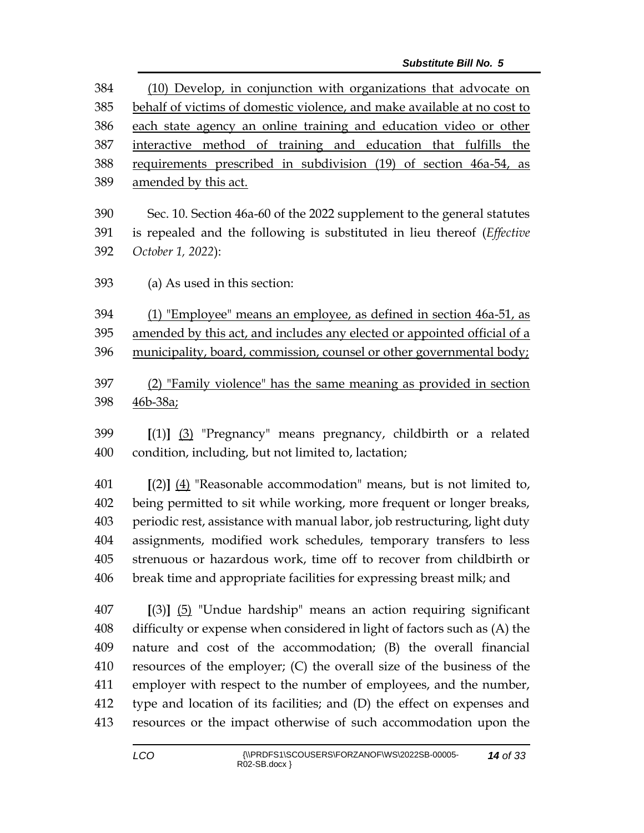| 384                  | (10) Develop, in conjunction with organizations that advocate on         |  |  |
|----------------------|--------------------------------------------------------------------------|--|--|
| 385                  | behalf of victims of domestic violence, and make available at no cost to |  |  |
| 386                  | each state agency an online training and education video or other        |  |  |
| 387                  | interactive method of training and education that fulfills the           |  |  |
| 388                  | requirements prescribed in subdivision (19) of section 46a-54, as        |  |  |
| 389                  | amended by this act.                                                     |  |  |
| 390                  | Sec. 10. Section 46a-60 of the 2022 supplement to the general statutes   |  |  |
| 391                  | is repealed and the following is substituted in lieu thereof (Effective  |  |  |
| 392                  | October 1, 2022):                                                        |  |  |
| 393                  | (a) As used in this section:                                             |  |  |
| 394                  | (1) "Employee" means an employee, as defined in section 46a-51, as       |  |  |
| 395                  | amended by this act, and includes any elected or appointed official of a |  |  |
| 396                  | municipality, board, commission, counsel or other governmental body;     |  |  |
| 397                  | (2) "Family violence" has the same meaning as provided in section        |  |  |
| 398                  | <u>46b-38a;</u>                                                          |  |  |
| 399                  | $[(1)]$ $(3)$ "Pregnancy" means pregnancy, childbirth or a related       |  |  |
| 400                  | condition, including, but not limited to, lactation;                     |  |  |
| $\Lambda$ $\Omega$ 1 |                                                                          |  |  |

 **[**(2)**]** (4) "Reasonable accommodation" means, but is not limited to, being permitted to sit while working, more frequent or longer breaks, periodic rest, assistance with manual labor, job restructuring, light duty assignments, modified work schedules, temporary transfers to less strenuous or hazardous work, time off to recover from childbirth or break time and appropriate facilities for expressing breast milk; and

 **[**(3)**]** (5) "Undue hardship" means an action requiring significant difficulty or expense when considered in light of factors such as (A) the nature and cost of the accommodation; (B) the overall financial resources of the employer; (C) the overall size of the business of the employer with respect to the number of employees, and the number, type and location of its facilities; and (D) the effect on expenses and resources or the impact otherwise of such accommodation upon the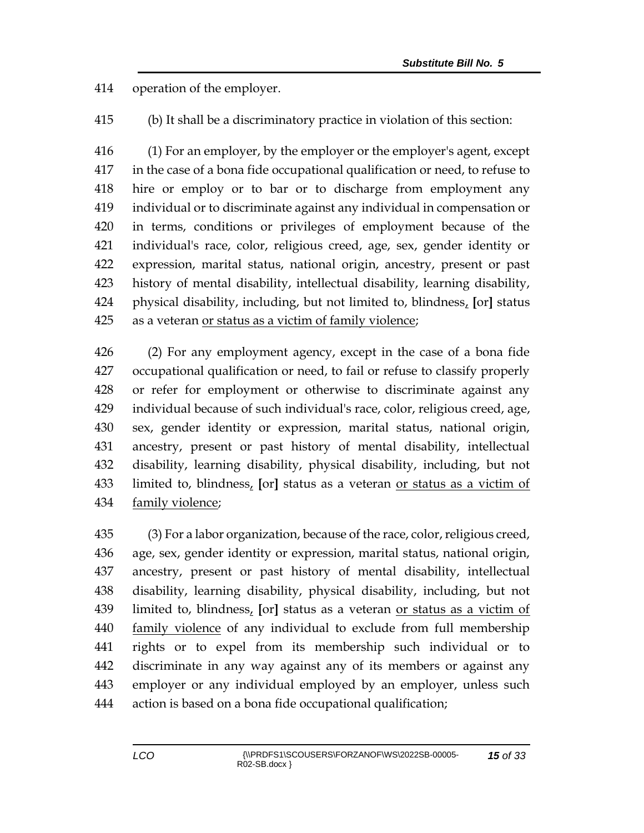operation of the employer.

(b) It shall be a discriminatory practice in violation of this section:

 (1) For an employer, by the employer or the employer's agent, except in the case of a bona fide occupational qualification or need, to refuse to hire or employ or to bar or to discharge from employment any individual or to discriminate against any individual in compensation or in terms, conditions or privileges of employment because of the individual's race, color, religious creed, age, sex, gender identity or expression, marital status, national origin, ancestry, present or past history of mental disability, intellectual disability, learning disability, physical disability, including, but not limited to, blindness, **[**or**]** status as a veteran or status as a victim of family violence;

 (2) For any employment agency, except in the case of a bona fide occupational qualification or need, to fail or refuse to classify properly or refer for employment or otherwise to discriminate against any individual because of such individual's race, color, religious creed, age, sex, gender identity or expression, marital status, national origin, ancestry, present or past history of mental disability, intellectual disability, learning disability, physical disability, including, but not limited to, blindness, **[**or**]** status as a veteran or status as a victim of family violence;

 (3) For a labor organization, because of the race, color, religious creed, age, sex, gender identity or expression, marital status, national origin, ancestry, present or past history of mental disability, intellectual disability, learning disability, physical disability, including, but not limited to, blindness, **[**or**]** status as a veteran or status as a victim of family violence of any individual to exclude from full membership rights or to expel from its membership such individual or to discriminate in any way against any of its members or against any employer or any individual employed by an employer, unless such action is based on a bona fide occupational qualification;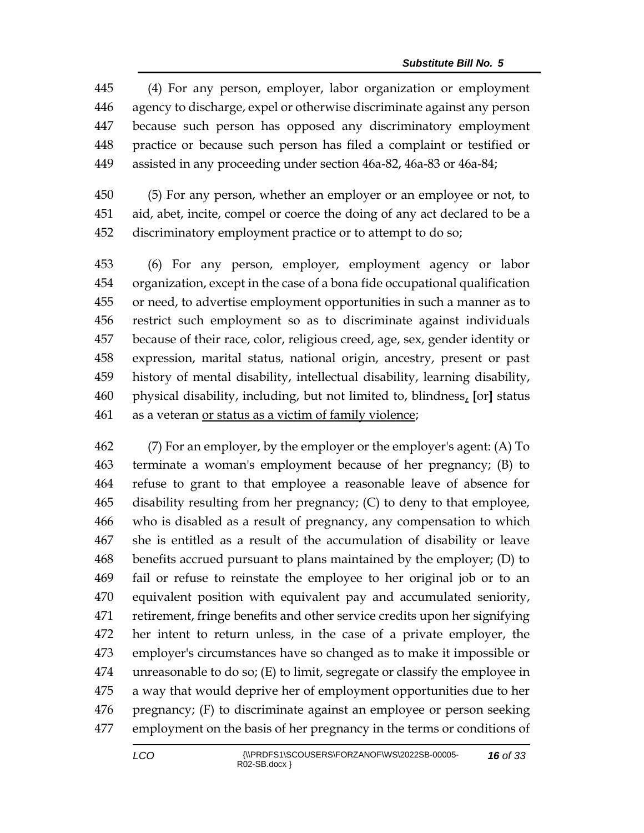(4) For any person, employer, labor organization or employment agency to discharge, expel or otherwise discriminate against any person because such person has opposed any discriminatory employment practice or because such person has filed a complaint or testified or assisted in any proceeding under section 46a-82, 46a-83 or 46a-84;

 (5) For any person, whether an employer or an employee or not, to aid, abet, incite, compel or coerce the doing of any act declared to be a discriminatory employment practice or to attempt to do so;

 (6) For any person, employer, employment agency or labor organization, except in the case of a bona fide occupational qualification or need, to advertise employment opportunities in such a manner as to restrict such employment so as to discriminate against individuals because of their race, color, religious creed, age, sex, gender identity or expression, marital status, national origin, ancestry, present or past history of mental disability, intellectual disability, learning disability, physical disability, including, but not limited to, blindness, **[**or**]** status as a veteran or status as a victim of family violence;

 (7) For an employer, by the employer or the employer's agent: (A) To terminate a woman's employment because of her pregnancy; (B) to refuse to grant to that employee a reasonable leave of absence for disability resulting from her pregnancy; (C) to deny to that employee, who is disabled as a result of pregnancy, any compensation to which she is entitled as a result of the accumulation of disability or leave benefits accrued pursuant to plans maintained by the employer; (D) to fail or refuse to reinstate the employee to her original job or to an equivalent position with equivalent pay and accumulated seniority, retirement, fringe benefits and other service credits upon her signifying her intent to return unless, in the case of a private employer, the employer's circumstances have so changed as to make it impossible or unreasonable to do so; (E) to limit, segregate or classify the employee in a way that would deprive her of employment opportunities due to her pregnancy; (F) to discriminate against an employee or person seeking employment on the basis of her pregnancy in the terms or conditions of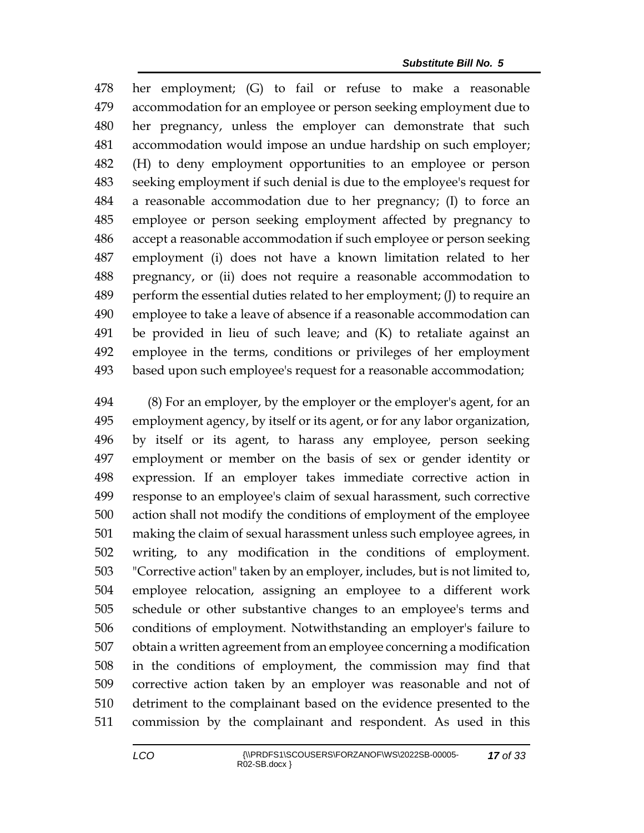her employment; (G) to fail or refuse to make a reasonable accommodation for an employee or person seeking employment due to her pregnancy, unless the employer can demonstrate that such accommodation would impose an undue hardship on such employer; (H) to deny employment opportunities to an employee or person seeking employment if such denial is due to the employee's request for a reasonable accommodation due to her pregnancy; (I) to force an employee or person seeking employment affected by pregnancy to accept a reasonable accommodation if such employee or person seeking employment (i) does not have a known limitation related to her pregnancy, or (ii) does not require a reasonable accommodation to perform the essential duties related to her employment; (J) to require an employee to take a leave of absence if a reasonable accommodation can be provided in lieu of such leave; and (K) to retaliate against an employee in the terms, conditions or privileges of her employment based upon such employee's request for a reasonable accommodation;

 (8) For an employer, by the employer or the employer's agent, for an employment agency, by itself or its agent, or for any labor organization, by itself or its agent, to harass any employee, person seeking employment or member on the basis of sex or gender identity or expression. If an employer takes immediate corrective action in response to an employee's claim of sexual harassment, such corrective action shall not modify the conditions of employment of the employee making the claim of sexual harassment unless such employee agrees, in writing, to any modification in the conditions of employment. "Corrective action" taken by an employer, includes, but is not limited to, employee relocation, assigning an employee to a different work schedule or other substantive changes to an employee's terms and conditions of employment. Notwithstanding an employer's failure to obtain a written agreement from an employee concerning a modification in the conditions of employment, the commission may find that corrective action taken by an employer was reasonable and not of detriment to the complainant based on the evidence presented to the commission by the complainant and respondent. As used in this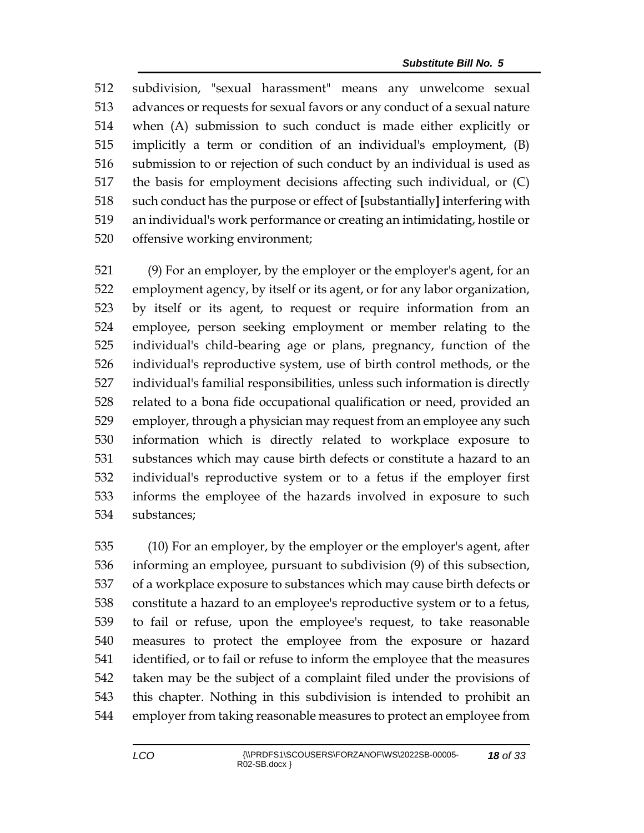subdivision, "sexual harassment" means any unwelcome sexual advances or requests for sexual favors or any conduct of a sexual nature when (A) submission to such conduct is made either explicitly or implicitly a term or condition of an individual's employment, (B) submission to or rejection of such conduct by an individual is used as the basis for employment decisions affecting such individual, or (C) such conduct has the purpose or effect of **[**substantially**]** interfering with an individual's work performance or creating an intimidating, hostile or offensive working environment;

 (9) For an employer, by the employer or the employer's agent, for an employment agency, by itself or its agent, or for any labor organization, by itself or its agent, to request or require information from an employee, person seeking employment or member relating to the individual's child-bearing age or plans, pregnancy, function of the individual's reproductive system, use of birth control methods, or the individual's familial responsibilities, unless such information is directly related to a bona fide occupational qualification or need, provided an employer, through a physician may request from an employee any such information which is directly related to workplace exposure to substances which may cause birth defects or constitute a hazard to an individual's reproductive system or to a fetus if the employer first informs the employee of the hazards involved in exposure to such substances;

 (10) For an employer, by the employer or the employer's agent, after informing an employee, pursuant to subdivision (9) of this subsection, of a workplace exposure to substances which may cause birth defects or constitute a hazard to an employee's reproductive system or to a fetus, to fail or refuse, upon the employee's request, to take reasonable measures to protect the employee from the exposure or hazard identified, or to fail or refuse to inform the employee that the measures taken may be the subject of a complaint filed under the provisions of this chapter. Nothing in this subdivision is intended to prohibit an employer from taking reasonable measures to protect an employee from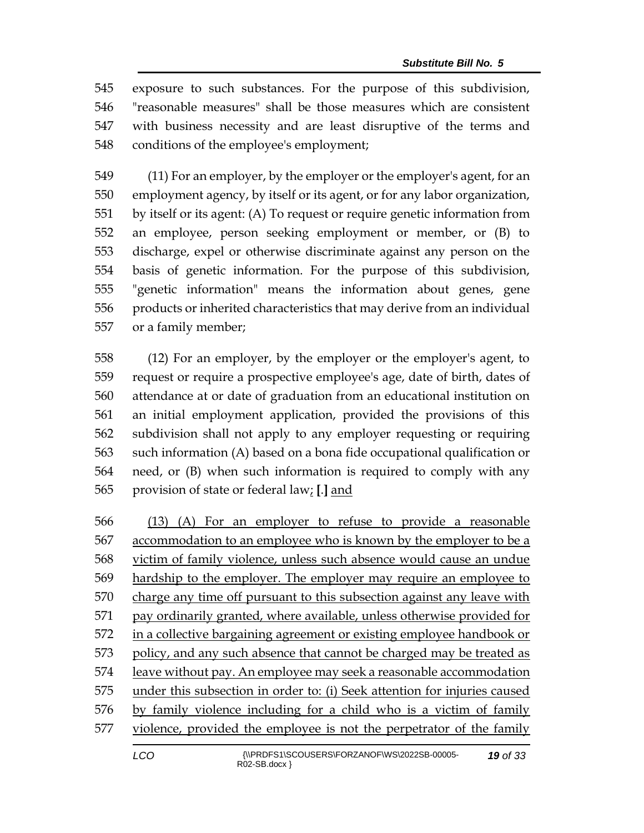exposure to such substances. For the purpose of this subdivision, "reasonable measures" shall be those measures which are consistent with business necessity and are least disruptive of the terms and conditions of the employee's employment;

 (11) For an employer, by the employer or the employer's agent, for an employment agency, by itself or its agent, or for any labor organization, by itself or its agent: (A) To request or require genetic information from an employee, person seeking employment or member, or (B) to discharge, expel or otherwise discriminate against any person on the basis of genetic information. For the purpose of this subdivision, "genetic information" means the information about genes, gene products or inherited characteristics that may derive from an individual or a family member;

 (12) For an employer, by the employer or the employer's agent, to request or require a prospective employee's age, date of birth, dates of attendance at or date of graduation from an educational institution on an initial employment application, provided the provisions of this subdivision shall not apply to any employer requesting or requiring such information (A) based on a bona fide occupational qualification or need, or (B) when such information is required to comply with any provision of state or federal law; **[**.**]** and

 (13) (A) For an employer to refuse to provide a reasonable accommodation to an employee who is known by the employer to be a victim of family violence, unless such absence would cause an undue hardship to the employer. The employer may require an employee to charge any time off pursuant to this subsection against any leave with 571 pay ordinarily granted, where available, unless otherwise provided for in a collective bargaining agreement or existing employee handbook or 573 policy, and any such absence that cannot be charged may be treated as leave without pay. An employee may seek a reasonable accommodation under this subsection in order to: (i) Seek attention for injuries caused by family violence including for a child who is a victim of family violence, provided the employee is not the perpetrator of the family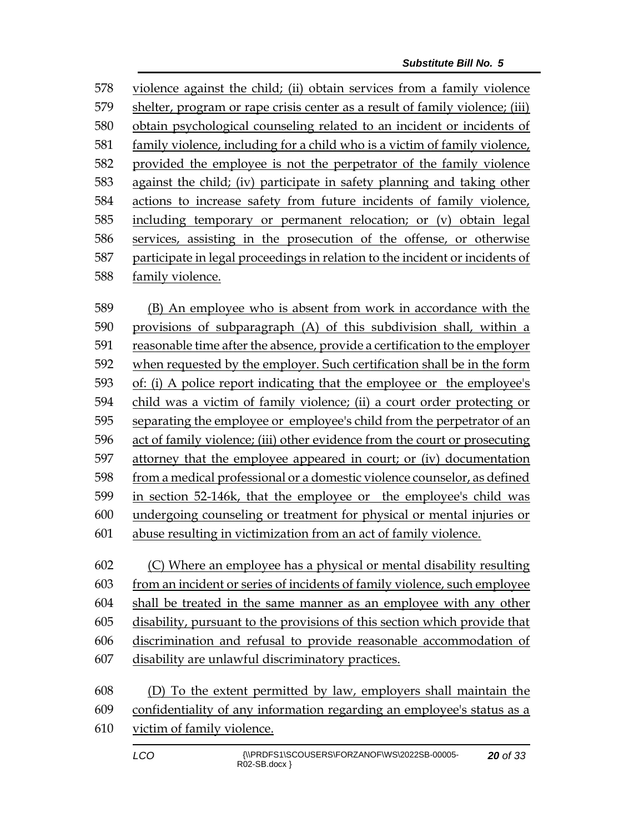violence against the child; (ii) obtain services from a family violence shelter, program or rape crisis center as a result of family violence; (iii) obtain psychological counseling related to an incident or incidents of family violence, including for a child who is a victim of family violence, provided the employee is not the perpetrator of the family violence against the child; (iv) participate in safety planning and taking other actions to increase safety from future incidents of family violence, including temporary or permanent relocation; or (v) obtain legal services, assisting in the prosecution of the offense, or otherwise participate in legal proceedings in relation to the incident or incidents of family violence.

 (B) An employee who is absent from work in accordance with the provisions of subparagraph (A) of this subdivision shall, within a reasonable time after the absence, provide a certification to the employer when requested by the employer. Such certification shall be in the form of: (i) A police report indicating that the employee or the employee's child was a victim of family violence; (ii) a court order protecting or separating the employee or employee's child from the perpetrator of an act of family violence; (iii) other evidence from the court or prosecuting attorney that the employee appeared in court; or (iv) documentation from a medical professional or a domestic violence counselor, as defined in section 52-146k, that the employee or the employee's child was undergoing counseling or treatment for physical or mental injuries or abuse resulting in victimization from an act of family violence.

 (C) Where an employee has a physical or mental disability resulting from an incident or series of incidents of family violence, such employee shall be treated in the same manner as an employee with any other disability, pursuant to the provisions of this section which provide that discrimination and refusal to provide reasonable accommodation of disability are unlawful discriminatory practices.

| 608 | (D) To the extent permitted by law, employers shall maintain the           |
|-----|----------------------------------------------------------------------------|
|     | 609 confidentiality of any information regarding an employee's status as a |
|     | 610 victim of family violence.                                             |
|     |                                                                            |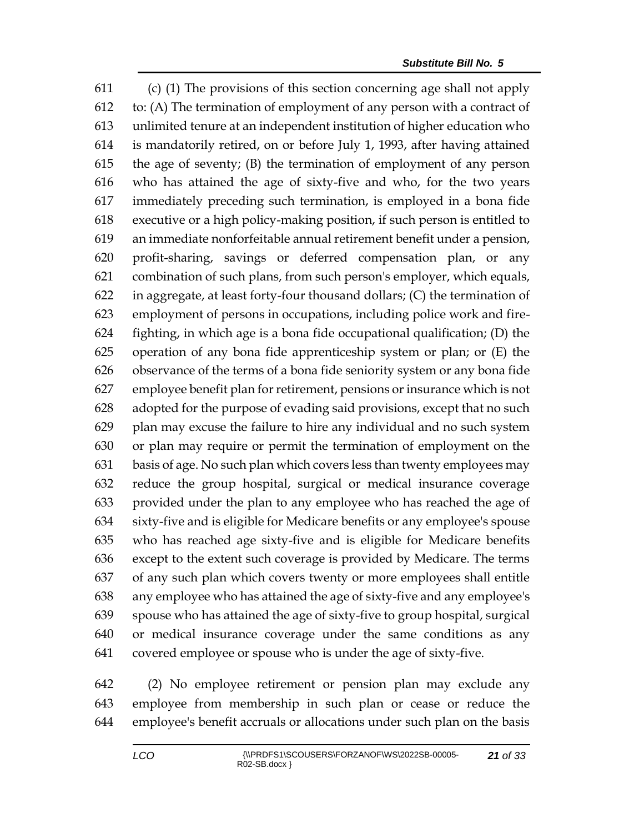(c) (1) The provisions of this section concerning age shall not apply to: (A) The termination of employment of any person with a contract of unlimited tenure at an independent institution of higher education who is mandatorily retired, on or before July 1, 1993, after having attained the age of seventy; (B) the termination of employment of any person who has attained the age of sixty-five and who, for the two years immediately preceding such termination, is employed in a bona fide executive or a high policy-making position, if such person is entitled to an immediate nonforfeitable annual retirement benefit under a pension, profit-sharing, savings or deferred compensation plan, or any combination of such plans, from such person's employer, which equals, in aggregate, at least forty-four thousand dollars; (C) the termination of employment of persons in occupations, including police work and fire- fighting, in which age is a bona fide occupational qualification; (D) the operation of any bona fide apprenticeship system or plan; or (E) the observance of the terms of a bona fide seniority system or any bona fide employee benefit plan for retirement, pensions or insurance which is not adopted for the purpose of evading said provisions, except that no such plan may excuse the failure to hire any individual and no such system or plan may require or permit the termination of employment on the basis of age. No such plan which covers less than twenty employees may reduce the group hospital, surgical or medical insurance coverage provided under the plan to any employee who has reached the age of sixty-five and is eligible for Medicare benefits or any employee's spouse who has reached age sixty-five and is eligible for Medicare benefits except to the extent such coverage is provided by Medicare. The terms of any such plan which covers twenty or more employees shall entitle any employee who has attained the age of sixty-five and any employee's spouse who has attained the age of sixty-five to group hospital, surgical or medical insurance coverage under the same conditions as any covered employee or spouse who is under the age of sixty-five.

 (2) No employee retirement or pension plan may exclude any employee from membership in such plan or cease or reduce the employee's benefit accruals or allocations under such plan on the basis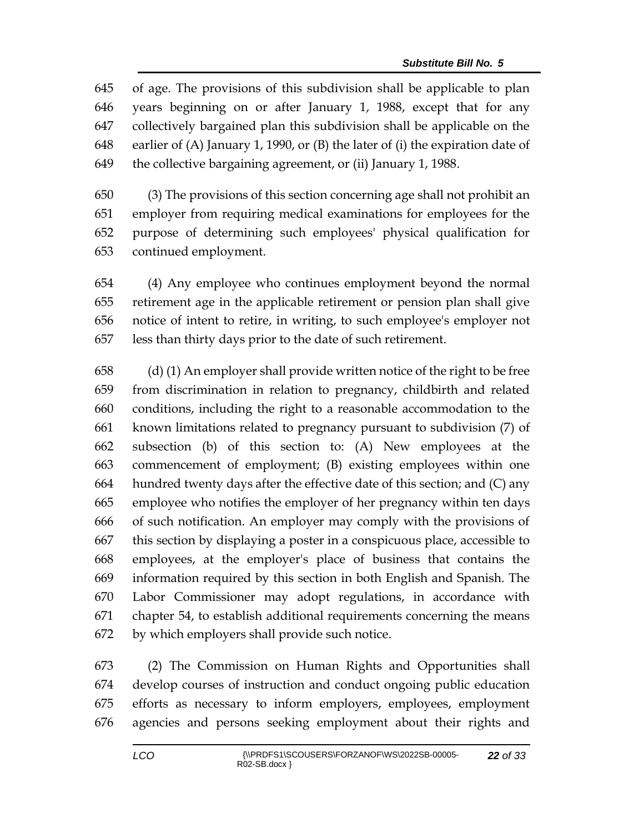of age. The provisions of this subdivision shall be applicable to plan years beginning on or after January 1, 1988, except that for any collectively bargained plan this subdivision shall be applicable on the earlier of (A) January 1, 1990, or (B) the later of (i) the expiration date of the collective bargaining agreement, or (ii) January 1, 1988.

 (3) The provisions of this section concerning age shall not prohibit an employer from requiring medical examinations for employees for the purpose of determining such employees' physical qualification for continued employment.

 (4) Any employee who continues employment beyond the normal retirement age in the applicable retirement or pension plan shall give notice of intent to retire, in writing, to such employee's employer not less than thirty days prior to the date of such retirement.

 (d) (1) An employer shall provide written notice of the right to be free from discrimination in relation to pregnancy, childbirth and related conditions, including the right to a reasonable accommodation to the known limitations related to pregnancy pursuant to subdivision (7) of subsection (b) of this section to: (A) New employees at the commencement of employment; (B) existing employees within one hundred twenty days after the effective date of this section; and (C) any employee who notifies the employer of her pregnancy within ten days of such notification. An employer may comply with the provisions of this section by displaying a poster in a conspicuous place, accessible to employees, at the employer's place of business that contains the information required by this section in both English and Spanish. The Labor Commissioner may adopt regulations, in accordance with chapter 54, to establish additional requirements concerning the means by which employers shall provide such notice.

 (2) The Commission on Human Rights and Opportunities shall develop courses of instruction and conduct ongoing public education efforts as necessary to inform employers, employees, employment agencies and persons seeking employment about their rights and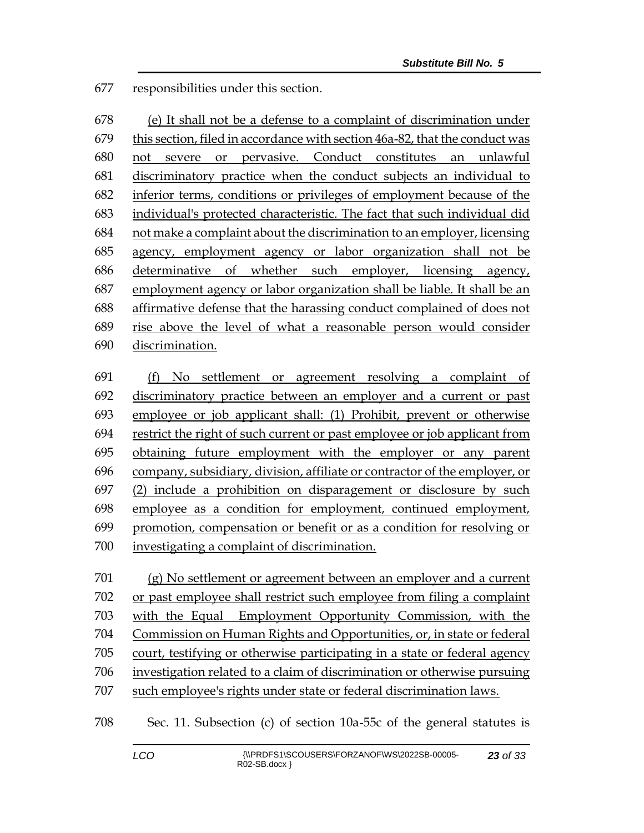responsibilities under this section.

 (e) It shall not be a defense to a complaint of discrimination under this section, filed in accordance with section 46a-82, that the conduct was not severe or pervasive. Conduct constitutes an unlawful discriminatory practice when the conduct subjects an individual to inferior terms, conditions or privileges of employment because of the individual's protected characteristic. The fact that such individual did not make a complaint about the discrimination to an employer, licensing agency, employment agency or labor organization shall not be determinative of whether such employer, licensing agency, employment agency or labor organization shall be liable. It shall be an affirmative defense that the harassing conduct complained of does not rise above the level of what a reasonable person would consider discrimination.

 (f) No settlement or agreement resolving a complaint of discriminatory practice between an employer and a current or past employee or job applicant shall: (1) Prohibit, prevent or otherwise restrict the right of such current or past employee or job applicant from obtaining future employment with the employer or any parent company, subsidiary, division, affiliate or contractor of the employer, or (2) include a prohibition on disparagement or disclosure by such employee as a condition for employment, continued employment, promotion, compensation or benefit or as a condition for resolving or investigating a complaint of discrimination.

 (g) No settlement or agreement between an employer and a current or past employee shall restrict such employee from filing a complaint with the Equal Employment Opportunity Commission, with the Commission on Human Rights and Opportunities, or, in state or federal court, testifying or otherwise participating in a state or federal agency investigation related to a claim of discrimination or otherwise pursuing such employee's rights under state or federal discrimination laws.

Sec. 11. Subsection (c) of section 10a-55c of the general statutes is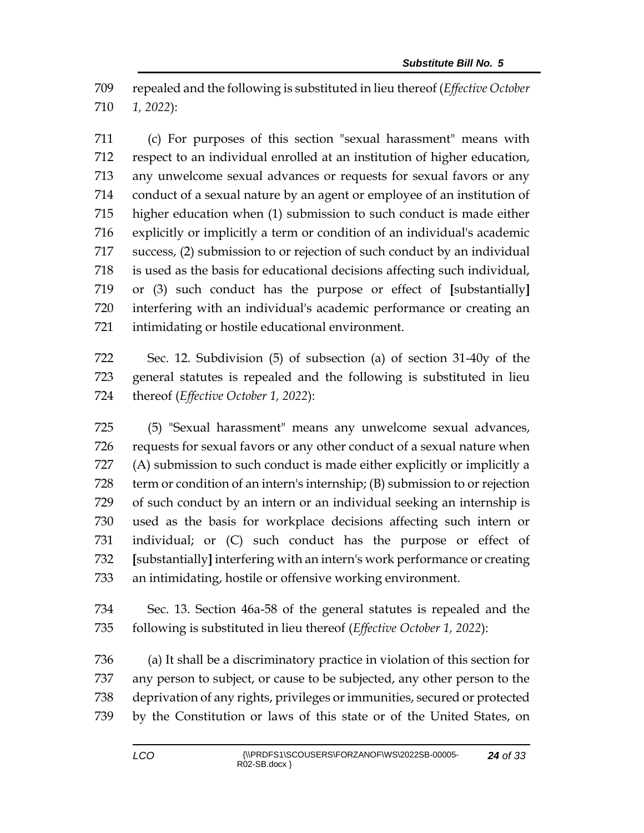repealed and the following is substituted in lieu thereof (*Effective October 1, 2022*):

 (c) For purposes of this section "sexual harassment" means with respect to an individual enrolled at an institution of higher education, any unwelcome sexual advances or requests for sexual favors or any conduct of a sexual nature by an agent or employee of an institution of higher education when (1) submission to such conduct is made either explicitly or implicitly a term or condition of an individual's academic success, (2) submission to or rejection of such conduct by an individual is used as the basis for educational decisions affecting such individual, or (3) such conduct has the purpose or effect of **[**substantially**]** interfering with an individual's academic performance or creating an intimidating or hostile educational environment.

 Sec. 12. Subdivision (5) of subsection (a) of section 31-40y of the general statutes is repealed and the following is substituted in lieu thereof (*Effective October 1, 2022*):

 (5) "Sexual harassment" means any unwelcome sexual advances, requests for sexual favors or any other conduct of a sexual nature when (A) submission to such conduct is made either explicitly or implicitly a term or condition of an intern's internship; (B) submission to or rejection of such conduct by an intern or an individual seeking an internship is used as the basis for workplace decisions affecting such intern or individual; or (C) such conduct has the purpose or effect of **[**substantially**]** interfering with an intern's work performance or creating an intimidating, hostile or offensive working environment.

 Sec. 13. Section 46a-58 of the general statutes is repealed and the following is substituted in lieu thereof (*Effective October 1, 2022*):

 (a) It shall be a discriminatory practice in violation of this section for any person to subject, or cause to be subjected, any other person to the deprivation of any rights, privileges or immunities, secured or protected by the Constitution or laws of this state or of the United States, on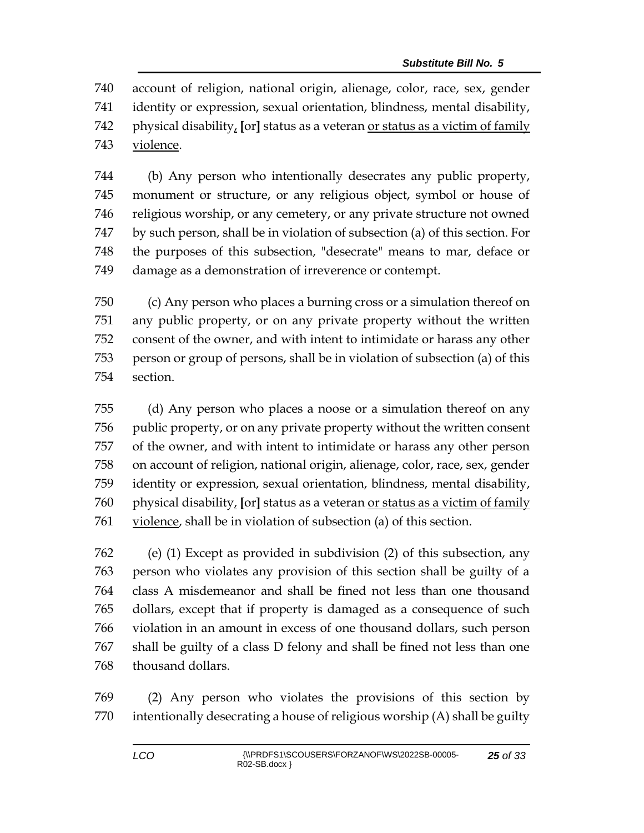account of religion, national origin, alienage, color, race, sex, gender identity or expression, sexual orientation, blindness, mental disability, physical disability, **[**or**]** status as a veteran or status as a victim of family violence.

 (b) Any person who intentionally desecrates any public property, monument or structure, or any religious object, symbol or house of religious worship, or any cemetery, or any private structure not owned by such person, shall be in violation of subsection (a) of this section. For the purposes of this subsection, "desecrate" means to mar, deface or damage as a demonstration of irreverence or contempt.

 (c) Any person who places a burning cross or a simulation thereof on any public property, or on any private property without the written consent of the owner, and with intent to intimidate or harass any other person or group of persons, shall be in violation of subsection (a) of this section.

 (d) Any person who places a noose or a simulation thereof on any public property, or on any private property without the written consent of the owner, and with intent to intimidate or harass any other person on account of religion, national origin, alienage, color, race, sex, gender identity or expression, sexual orientation, blindness, mental disability, physical disability, **[**or**]** status as a veteran or status as a victim of family violence, shall be in violation of subsection (a) of this section.

 (e) (1) Except as provided in subdivision (2) of this subsection, any person who violates any provision of this section shall be guilty of a class A misdemeanor and shall be fined not less than one thousand dollars, except that if property is damaged as a consequence of such violation in an amount in excess of one thousand dollars, such person shall be guilty of a class D felony and shall be fined not less than one thousand dollars.

 (2) Any person who violates the provisions of this section by intentionally desecrating a house of religious worship (A) shall be guilty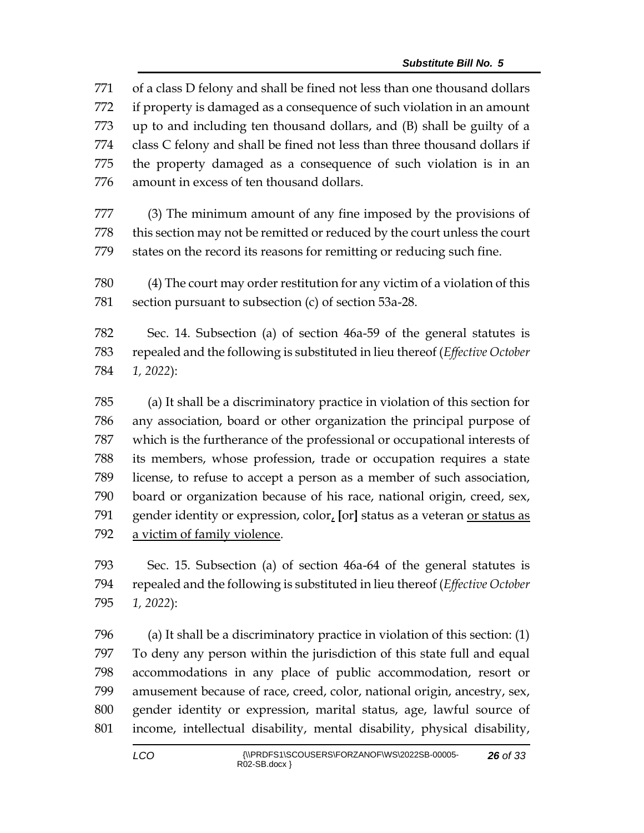of a class D felony and shall be fined not less than one thousand dollars if property is damaged as a consequence of such violation in an amount up to and including ten thousand dollars, and (B) shall be guilty of a class C felony and shall be fined not less than three thousand dollars if the property damaged as a consequence of such violation is in an amount in excess of ten thousand dollars. (3) The minimum amount of any fine imposed by the provisions of this section may not be remitted or reduced by the court unless the court states on the record its reasons for remitting or reducing such fine. (4) The court may order restitution for any victim of a violation of this section pursuant to subsection (c) of section 53a-28. Sec. 14. Subsection (a) of section 46a-59 of the general statutes is repealed and the following is substituted in lieu thereof (*Effective October 1, 2022*): (a) It shall be a discriminatory practice in violation of this section for any association, board or other organization the principal purpose of which is the furtherance of the professional or occupational interests of its members, whose profession, trade or occupation requires a state license, to refuse to accept a person as a member of such association, board or organization because of his race, national origin, creed, sex, gender identity or expression, color, **[**or**]** status as a veteran or status as

a victim of family violence.

 Sec. 15. Subsection (a) of section 46a-64 of the general statutes is repealed and the following is substituted in lieu thereof (*Effective October 1, 2022*):

 (a) It shall be a discriminatory practice in violation of this section: (1) To deny any person within the jurisdiction of this state full and equal accommodations in any place of public accommodation, resort or amusement because of race, creed, color, national origin, ancestry, sex, gender identity or expression, marital status, age, lawful source of income, intellectual disability, mental disability, physical disability,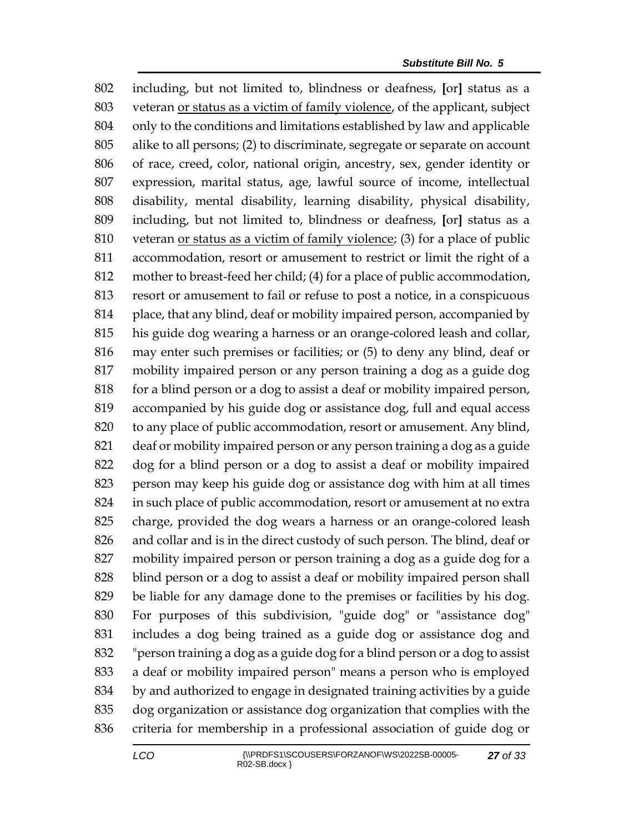including, but not limited to, blindness or deafness, **[**or**]** status as a veteran or status as a victim of family violence, of the applicant, subject only to the conditions and limitations established by law and applicable alike to all persons; (2) to discriminate, segregate or separate on account of race, creed, color, national origin, ancestry, sex, gender identity or expression, marital status, age, lawful source of income, intellectual disability, mental disability, learning disability, physical disability, including, but not limited to, blindness or deafness, **[**or**]** status as a veteran or status as a victim of family violence; (3) for a place of public accommodation, resort or amusement to restrict or limit the right of a mother to breast-feed her child; (4) for a place of public accommodation, resort or amusement to fail or refuse to post a notice, in a conspicuous place, that any blind, deaf or mobility impaired person, accompanied by his guide dog wearing a harness or an orange-colored leash and collar, may enter such premises or facilities; or (5) to deny any blind, deaf or mobility impaired person or any person training a dog as a guide dog for a blind person or a dog to assist a deaf or mobility impaired person, accompanied by his guide dog or assistance dog, full and equal access to any place of public accommodation, resort or amusement. Any blind, deaf or mobility impaired person or any person training a dog as a guide dog for a blind person or a dog to assist a deaf or mobility impaired person may keep his guide dog or assistance dog with him at all times in such place of public accommodation, resort or amusement at no extra charge, provided the dog wears a harness or an orange-colored leash and collar and is in the direct custody of such person. The blind, deaf or mobility impaired person or person training a dog as a guide dog for a blind person or a dog to assist a deaf or mobility impaired person shall be liable for any damage done to the premises or facilities by his dog. For purposes of this subdivision, "guide dog" or "assistance dog" includes a dog being trained as a guide dog or assistance dog and "person training a dog as a guide dog for a blind person or a dog to assist a deaf or mobility impaired person" means a person who is employed by and authorized to engage in designated training activities by a guide dog organization or assistance dog organization that complies with the criteria for membership in a professional association of guide dog or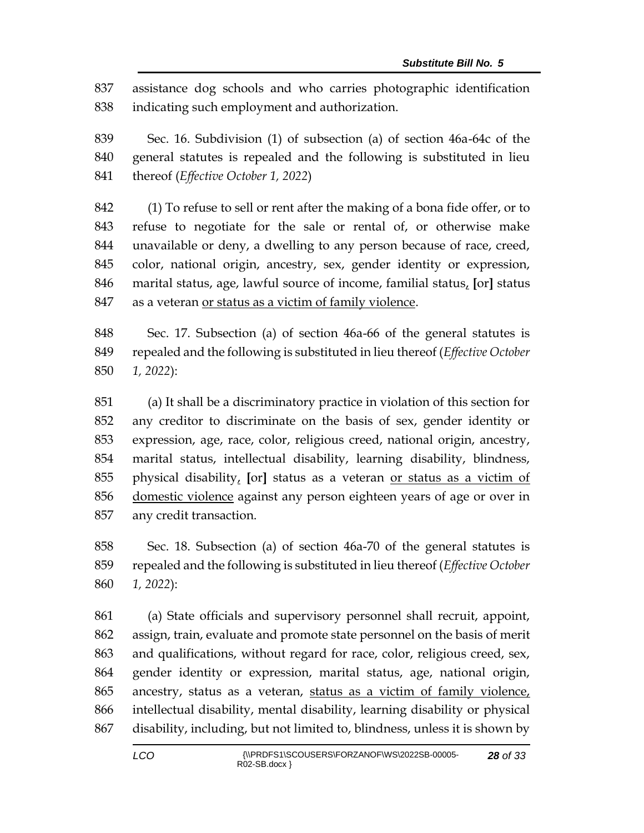assistance dog schools and who carries photographic identification indicating such employment and authorization.

 Sec. 16. Subdivision (1) of subsection (a) of section 46a-64c of the general statutes is repealed and the following is substituted in lieu thereof (*Effective October 1, 2022*)

 (1) To refuse to sell or rent after the making of a bona fide offer, or to refuse to negotiate for the sale or rental of, or otherwise make unavailable or deny, a dwelling to any person because of race, creed, color, national origin, ancestry, sex, gender identity or expression, marital status, age, lawful source of income, familial status, **[**or**]** status as a veteran or status as a victim of family violence.

 Sec. 17. Subsection (a) of section 46a-66 of the general statutes is repealed and the following is substituted in lieu thereof (*Effective October 1, 2022*):

 (a) It shall be a discriminatory practice in violation of this section for any creditor to discriminate on the basis of sex, gender identity or expression, age, race, color, religious creed, national origin, ancestry, marital status, intellectual disability, learning disability, blindness, physical disability, **[**or**]** status as a veteran or status as a victim of 856 domestic violence against any person eighteen years of age or over in any credit transaction.

 Sec. 18. Subsection (a) of section 46a-70 of the general statutes is repealed and the following is substituted in lieu thereof (*Effective October 1, 2022*):

 (a) State officials and supervisory personnel shall recruit, appoint, assign, train, evaluate and promote state personnel on the basis of merit and qualifications, without regard for race, color, religious creed, sex, gender identity or expression, marital status, age, national origin, ancestry, status as a veteran, status as a victim of family violence, intellectual disability, mental disability, learning disability or physical disability, including, but not limited to, blindness, unless it is shown by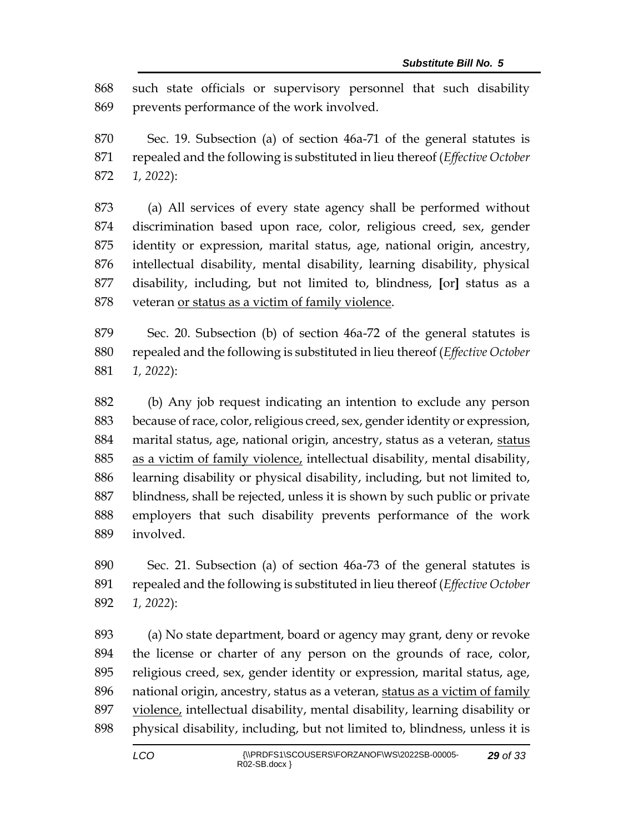such state officials or supervisory personnel that such disability prevents performance of the work involved.

 Sec. 19. Subsection (a) of section 46a-71 of the general statutes is repealed and the following is substituted in lieu thereof (*Effective October 1, 2022*):

 (a) All services of every state agency shall be performed without discrimination based upon race, color, religious creed, sex, gender identity or expression, marital status, age, national origin, ancestry, intellectual disability, mental disability, learning disability, physical disability, including, but not limited to, blindness, **[**or**]** status as a veteran or status as a victim of family violence.

 Sec. 20. Subsection (b) of section 46a-72 of the general statutes is repealed and the following is substituted in lieu thereof (*Effective October 1, 2022*):

 (b) Any job request indicating an intention to exclude any person because of race, color, religious creed, sex, gender identity or expression, marital status, age, national origin, ancestry, status as a veteran, status as a victim of family violence, intellectual disability, mental disability, learning disability or physical disability, including, but not limited to, blindness, shall be rejected, unless it is shown by such public or private employers that such disability prevents performance of the work involved.

 Sec. 21. Subsection (a) of section 46a-73 of the general statutes is repealed and the following is substituted in lieu thereof (*Effective October 1, 2022*):

 (a) No state department, board or agency may grant, deny or revoke the license or charter of any person on the grounds of race, color, religious creed, sex, gender identity or expression, marital status, age, national origin, ancestry, status as a veteran, status as a victim of family violence, intellectual disability, mental disability, learning disability or physical disability, including, but not limited to, blindness, unless it is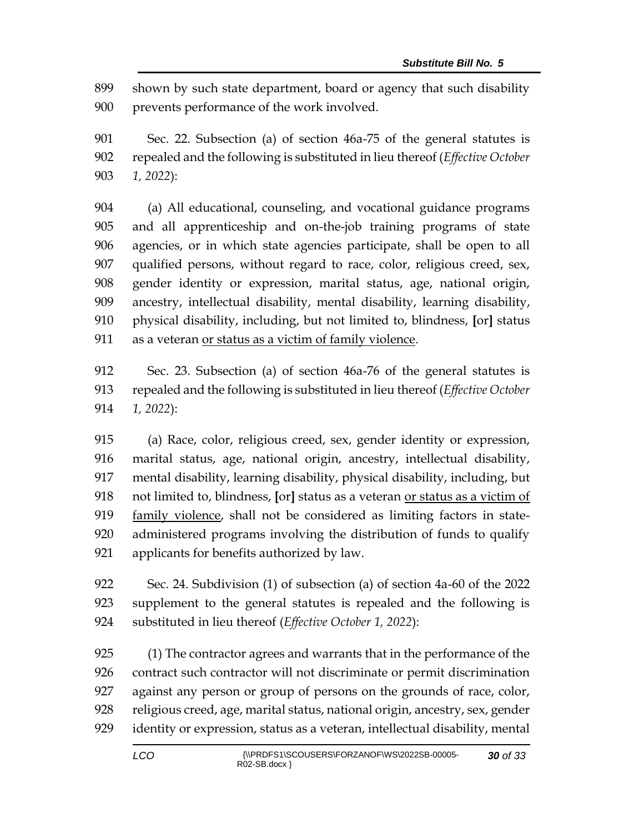shown by such state department, board or agency that such disability prevents performance of the work involved.

 Sec. 22. Subsection (a) of section 46a-75 of the general statutes is repealed and the following is substituted in lieu thereof (*Effective October 1, 2022*):

 (a) All educational, counseling, and vocational guidance programs and all apprenticeship and on-the-job training programs of state agencies, or in which state agencies participate, shall be open to all qualified persons, without regard to race, color, religious creed, sex, gender identity or expression, marital status, age, national origin, ancestry, intellectual disability, mental disability, learning disability, physical disability, including, but not limited to, blindness, **[**or**]** status 911 as a veteran <u>or status as a victim of family violence</u>.

 Sec. 23. Subsection (a) of section 46a-76 of the general statutes is repealed and the following is substituted in lieu thereof (*Effective October 1, 2022*):

 (a) Race, color, religious creed, sex, gender identity or expression, marital status, age, national origin, ancestry, intellectual disability, mental disability, learning disability, physical disability, including, but not limited to, blindness, **[**or**]** status as a veteran or status as a victim of family violence, shall not be considered as limiting factors in state- administered programs involving the distribution of funds to qualify applicants for benefits authorized by law.

 Sec. 24. Subdivision (1) of subsection (a) of section 4a-60 of the 2022 supplement to the general statutes is repealed and the following is substituted in lieu thereof (*Effective October 1, 2022*):

 (1) The contractor agrees and warrants that in the performance of the contract such contractor will not discriminate or permit discrimination against any person or group of persons on the grounds of race, color, religious creed, age, marital status, national origin, ancestry, sex, gender identity or expression, status as a veteran, intellectual disability, mental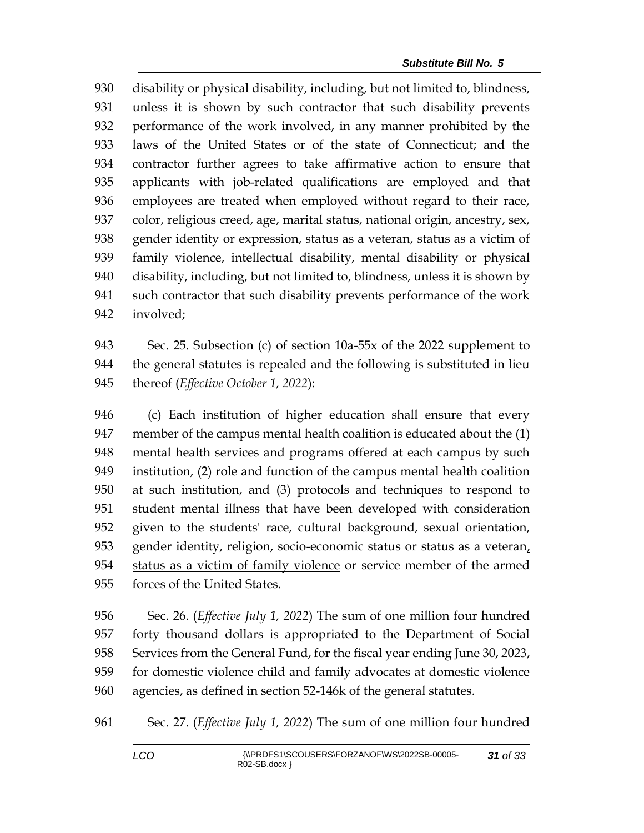disability or physical disability, including, but not limited to, blindness, unless it is shown by such contractor that such disability prevents performance of the work involved, in any manner prohibited by the laws of the United States or of the state of Connecticut; and the contractor further agrees to take affirmative action to ensure that applicants with job-related qualifications are employed and that employees are treated when employed without regard to their race, color, religious creed, age, marital status, national origin, ancestry, sex, gender identity or expression, status as a veteran, status as a victim of family violence, intellectual disability, mental disability or physical disability, including, but not limited to, blindness, unless it is shown by such contractor that such disability prevents performance of the work involved;

 Sec. 25. Subsection (c) of section 10a-55x of the 2022 supplement to the general statutes is repealed and the following is substituted in lieu thereof (*Effective October 1, 2022*):

 (c) Each institution of higher education shall ensure that every member of the campus mental health coalition is educated about the (1) mental health services and programs offered at each campus by such institution, (2) role and function of the campus mental health coalition at such institution, and (3) protocols and techniques to respond to student mental illness that have been developed with consideration given to the students' race, cultural background, sexual orientation, gender identity, religion, socio-economic status or status as a veteran, status as a victim of family violence or service member of the armed forces of the United States.

 Sec. 26. (*Effective July 1, 2022*) The sum of one million four hundred forty thousand dollars is appropriated to the Department of Social Services from the General Fund, for the fiscal year ending June 30, 2023, for domestic violence child and family advocates at domestic violence agencies, as defined in section 52-146k of the general statutes.

Sec. 27. (*Effective July 1, 2022*) The sum of one million four hundred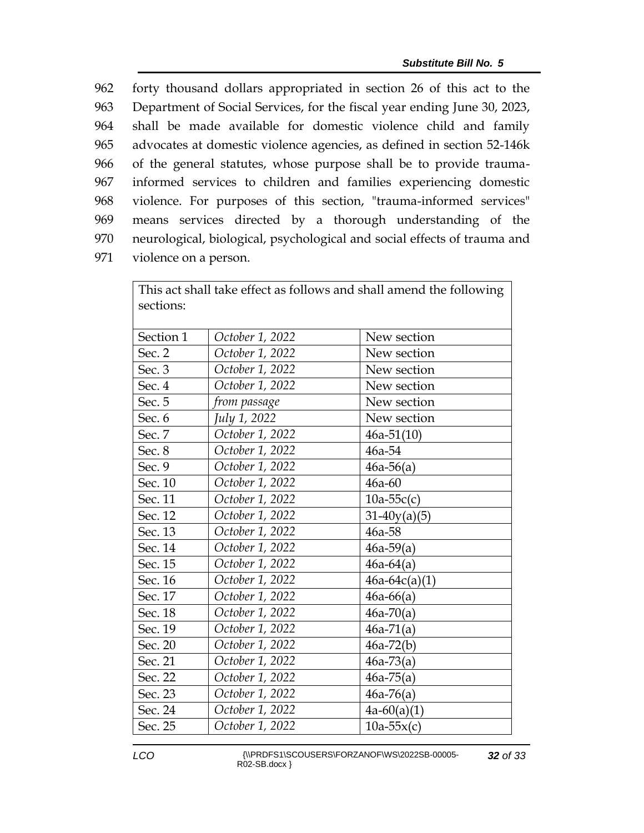forty thousand dollars appropriated in section 26 of this act to the Department of Social Services, for the fiscal year ending June 30, 2023, shall be made available for domestic violence child and family advocates at domestic violence agencies, as defined in section 52-146k of the general statutes, whose purpose shall be to provide trauma- informed services to children and families experiencing domestic violence. For purposes of this section, "trauma-informed services" means services directed by a thorough understanding of the neurological, biological, psychological and social effects of trauma and violence on a person.

| This act shall take effect as follows and shall amend the following |                 |                 |  |  |  |  |
|---------------------------------------------------------------------|-----------------|-----------------|--|--|--|--|
| sections:                                                           |                 |                 |  |  |  |  |
|                                                                     |                 |                 |  |  |  |  |
| Section 1                                                           | October 1, 2022 | New section     |  |  |  |  |
| Sec. 2                                                              | October 1, 2022 | New section     |  |  |  |  |
| Sec. 3                                                              | October 1, 2022 | New section     |  |  |  |  |
| Sec. 4                                                              | October 1, 2022 | New section     |  |  |  |  |
| Sec. 5                                                              | from passage    | New section     |  |  |  |  |
| Sec. 6                                                              | July 1, 2022    | New section     |  |  |  |  |
| Sec. 7                                                              | October 1, 2022 | $46a-51(10)$    |  |  |  |  |
| Sec. 8                                                              | October 1, 2022 | 46a-54          |  |  |  |  |
| Sec. 9                                                              | October 1, 2022 | $46a-56(a)$     |  |  |  |  |
| Sec. 10                                                             | October 1, 2022 | $46a-60$        |  |  |  |  |
| Sec. 11                                                             | October 1, 2022 | $10a-55c(c)$    |  |  |  |  |
| Sec. 12                                                             | October 1, 2022 | $31-40y(a)(5)$  |  |  |  |  |
| Sec. 13                                                             | October 1, 2022 | 46a-58          |  |  |  |  |
| Sec. 14                                                             | October 1, 2022 | $46a-59(a)$     |  |  |  |  |
| Sec. 15                                                             | October 1, 2022 | $46a-64(a)$     |  |  |  |  |
| Sec. 16                                                             | October 1, 2022 | $46a-64c(a)(1)$ |  |  |  |  |
| Sec. 17                                                             | October 1, 2022 | $46a - 66(a)$   |  |  |  |  |
| Sec. 18                                                             | October 1, 2022 | $46a-70(a)$     |  |  |  |  |
| Sec. 19                                                             | October 1, 2022 | $46a-71(a)$     |  |  |  |  |
| Sec. 20                                                             | October 1, 2022 | $46a-72(b)$     |  |  |  |  |
| Sec. 21                                                             | October 1, 2022 | $46a-73(a)$     |  |  |  |  |
| Sec. 22                                                             | October 1, 2022 | $46a-75(a)$     |  |  |  |  |
| Sec. 23                                                             | October 1, 2022 | $46a-76(a)$     |  |  |  |  |
| Sec. 24                                                             | October 1, 2022 | $4a-60(a)(1)$   |  |  |  |  |
| Sec. 25                                                             | October 1, 2022 | $10a-55x(c)$    |  |  |  |  |

*LCO* {\\PRDFS1\SCOUSERS\FORZANOF\WS\2022SB-00005- R02-SB.docx }